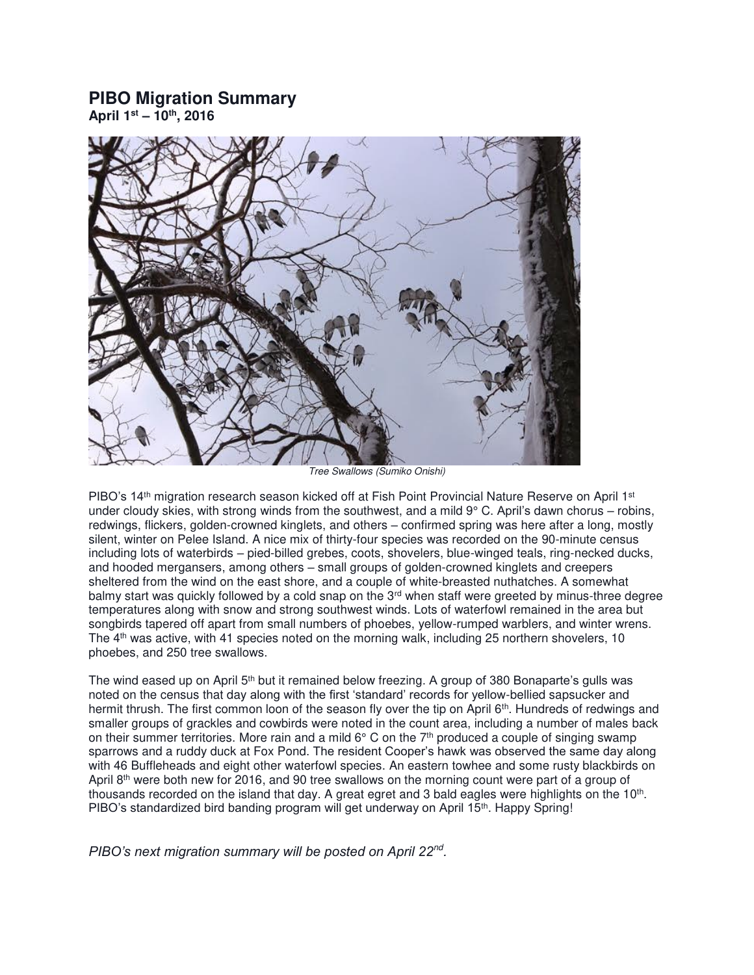## **PIBO Migration Summary**

**April 1st – 10th, 2016** 



Tree Swallows (Sumiko Onishi)

PIBO's 14<sup>th</sup> migration research season kicked off at Fish Point Provincial Nature Reserve on April 1<sup>st</sup> under cloudy skies, with strong winds from the southwest, and a mild  $9^{\circ}$  C. April's dawn chorus – robins, redwings, flickers, golden-crowned kinglets, and others – confirmed spring was here after a long, mostly silent, winter on Pelee Island. A nice mix of thirty-four species was recorded on the 90-minute census including lots of waterbirds – pied-billed grebes, coots, shovelers, blue-winged teals, ring-necked ducks, and hooded mergansers, among others – small groups of golden-crowned kinglets and creepers sheltered from the wind on the east shore, and a couple of white-breasted nuthatches. A somewhat balmy start was quickly followed by a cold snap on the 3<sup>rd</sup> when staff were greeted by minus-three degree temperatures along with snow and strong southwest winds. Lots of waterfowl remained in the area but songbirds tapered off apart from small numbers of phoebes, yellow-rumped warblers, and winter wrens. The 4<sup>th</sup> was active, with 41 species noted on the morning walk, including 25 northern shovelers, 10 phoebes, and 250 tree swallows.

The wind eased up on April 5<sup>th</sup> but it remained below freezing. A group of 380 Bonaparte's gulls was noted on the census that day along with the first 'standard' records for yellow-bellied sapsucker and hermit thrush. The first common loon of the season fly over the tip on April 6<sup>th</sup>. Hundreds of redwings and smaller groups of grackles and cowbirds were noted in the count area, including a number of males back on their summer territories. More rain and a mild  $6^{\circ}$  C on the 7<sup>th</sup> produced a couple of singing swamp sparrows and a ruddy duck at Fox Pond. The resident Cooper's hawk was observed the same day along with 46 Buffleheads and eight other waterfowl species. An eastern towhee and some rusty blackbirds on April 8th were both new for 2016, and 90 tree swallows on the morning count were part of a group of thousands recorded on the island that day. A great egret and 3 bald eagles were highlights on the 10<sup>th</sup>. PIBO's standardized bird banding program will get underway on April 15<sup>th</sup>. Happy Spring!

*PIBO's next migration summary will be posted on April 22nd .*